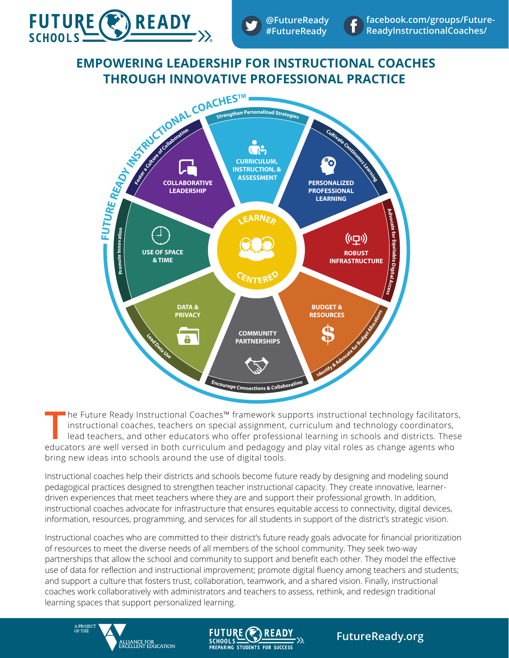

# **EMPOWERING LEADERSHIP FOR INSTRUCTIONAL COACHES THROUGH INNOVATIVE PROFESSIONAL PRACTICE**



**T** he Future Ready Instructional Coaches™ framework supports instructional technology facilitators, instructional coaches, teachers on special assignment, curriculum and technology coordinators, lead teachers, and other educators who offer professional learning in schools and districts. These educators are well versed in both curriculum and pedagogy and play vital roles as change agents who bring new ideas into schools around the use of digital tools.

Instructional coaches help their districts and schools become future ready by designing and modeling sound pedagogical practices designed to strengthen teacher instructional capacity. They create innovative, learnerdriven experiences that meet teachers where they are and support their professional growth. In addition, instructional coaches advocate for infrastructure that ensures equitable access to connectivity, digital devices, information, resources, programming, and services for all students in support of the district's strategic vision.

Instructional coaches who are committed to their district's future ready goals advocate for financial prioritization of resources to meet the diverse needs of all members of the school community. They seek two-way partnerships that allow the school and community to support and benefit each other. They model the effective use of data for reflection and instructional improvement; promote digital fluency among teachers and students; and support a culture that fosters trust, collaboration, teamwork, and a shared vision. Finally, instructional coaches work collaboratively with administrators and teachers to assess, rethink, and redesign traditional learning spaces that support personalized learning.

**FUTURE** 

SCHOOLS VALUE